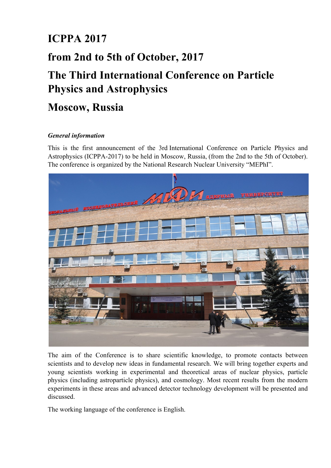# **ICPPA 2017**

## **from 2nd to 5th of October, 2017**

# **The Third International Conference on Particle Physics and Astrophysics**

## **Moscow, Russia**

## *General information*

This is the first announcement of the 3rd International Conference on Particle Physics and Astrophysics (ICPPA-2017) to be held in Moscow, Russia, (from the 2nd to the 5th of October). The conference is organized by the National Research Nuclear University "MEPhI".



The aim of the Conference is to share scientific knowledge, to promote contacts between scientists and to develop new ideas in fundamental research. We will bring together experts and young scientists working in experimental and theoretical areas of nuclear physics, particle physics (including astroparticle physics), and cosmology. Most recent results from the modern experiments in these areas and advanced detector technology development will be presented and discussed.

The working language of the conference is English.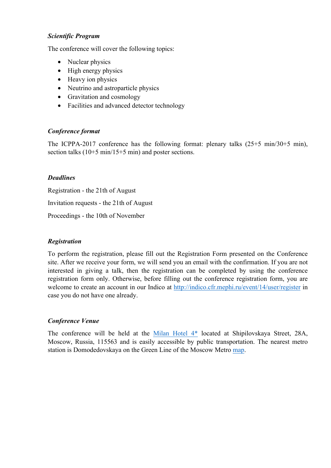#### *Scientific Program*

The conference will cover the following topics:

- Nuclear physics
- High energy physics
- Heavy ion physics
- Neutrino and astroparticle physics
- Gravitation and cosmology
- Facilities and advanced detector technology

#### *Conference format*

The ICPPA-2017 conference has the following format: plenary talks (25+5 min/30+5 min), section talks (10+5 min/15+5 min) and poster sections.

#### *Deadlines*

Registration - the 21th of August Invitation requests - the 21th of August Proceedings - the 10th of November

#### *Registration*

To perform the registration, please fill out the Registration Form presented on the Conference site. After we receive your form, we will send you an email with the confirmation. If you are not interested in giving a talk, then the registration can be completed by using the conference registration form only. Otherwise, before filling out the conference registration form, you are welcome to create an account in our Indico at http://indico.cfr.mephi.ru/event/14/user/register in case you do not have one already.

#### *Conference Venue*

The conference will be held at the Milan Hotel 4\* located at Shipilovskaya Street, 28A, Moscow, Russia, 115563 and is easily accessible by public transportation. The nearest metro station is Domodedovskaya on the Green Line of the Moscow Metro map.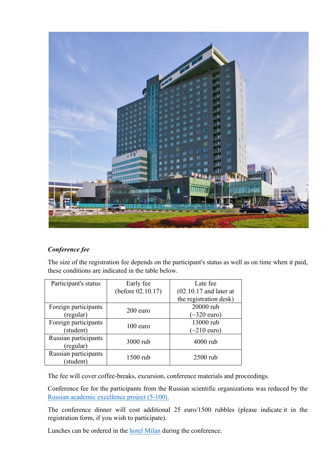

### *Conference fee*

The size of the registration fee depends on the participant's status as well as on time when it paid, these conditions are indicated in the table below.

| Participant's status              | Early fee         | Late fee                 |
|-----------------------------------|-------------------|--------------------------|
|                                   | (before 02.10.17) | $(02.10.17$ and later at |
|                                   |                   | the registration desk)   |
| Foreign participants              | $200$ euro        | 20000 rub                |
| (regular)                         |                   | $\sim$ 320 euro)         |
| Foreign participants              | $100$ euro        | 13000 rub                |
| (student)                         |                   | $\sim$ 210 euro)         |
| Russian participants<br>(regular) | 3000 rub          | $4000$ rub               |
| Russian participants<br>(student) | 1500 rub          | 2500 rub                 |

The fee will cover coffee-breaks, excursion, conference materials and proceedings.

Conference fee for the participants from the Russian scientific organizations was reduced by the Russian academic excellence project (5-100).

The conference dinner will cost additional 25 euro/1500 rubbles (please indicate it in the registration form, if you wish to participate).

Lunches can be ordered in the hotel Milan during the conference.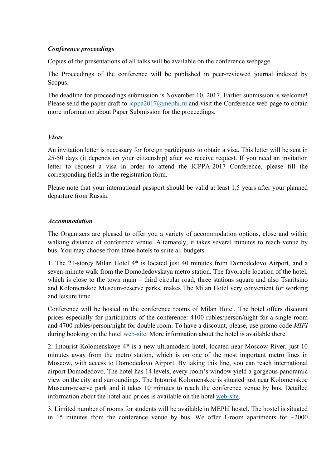#### *Conference proceedings*

Copies of the presentations of all talks will be available on the conference webpage.

The Proceedings of the conference will be published in peer-reviewed journal indexed by Scopus.

The deadline for proceedings submission is November 10, 2017. Earlier submission is welcome! Please send the paper draft to icppa2017@mephi.ru and visit the Conference web page to obtain more information about Paper Submission for the proceedings.

#### *Visas*

An invitation letter is necessary for foreign participants to obtain a visa. This letter will be sent in 25-50 days (it depends on your citizenship) after we receive request. If you need an invitation letter to request a visa in order to attend the ICPPA-2017 Conference, please fill the corresponding fields in the registration form.

Please note that your international passport should be valid at least 1.5 years after your planned departure from Russia.

#### *Accommodation*

The Organizers are pleased to offer you a variety of accommodation options, close and within walking distance of conference venue. Alternately, it takes several minutes to reach venue by bus. You may choose from three hotels to suite all budgets.

1. The 21-storey Milan Hotel 4\* is located just 40 minutes from Domodedovo Airport, and a seven-minute walk from the Domodedovskaya metro station. The favorable location of the hotel, which is close to the town main – third circular road, three stations square and also Tsaritsino and Kolomenskoe Museum-reserve parks, makes The Milan Hotel very convenient for working and leisure time.

Сonference will be hosted in the conference rooms of Milan Hotel. The hotel offers discount prices especially for participants of the conference: 4100 rubles/person/night for a single room and 4700 rubles/person/night for double room. To have a discount, please, use promo code *MIFI*  during booking on the hotel web-site. More information about the hotel is available there.

2. Intourist Kolomenskoye 4\* is a new ultramodern hotel, located near Moscow River, just 10 minutes away from the metro station, which is on one of the most important metro lines in Moscow, with access to Domodedovo Airport. By taking this line, you can reach international airport Domodedovo. The hotel has 14 levels, every room's window yield a gorgeous panoramic view on the city and surroundings. The Intourist Kolomenskoe is situated just near Kolomenskoe Museum-reserve park and it takes 10 minutes to reach the conference venue by bus. Detailed information about the hotel and prices is available on the hotel web-site.

3. Limited number of rooms for students will be available in MEPhI hostel. The hostel is situated in 15 minutes from the conference venue by bus. We offer 1-room apartments for  $\sim$ 2000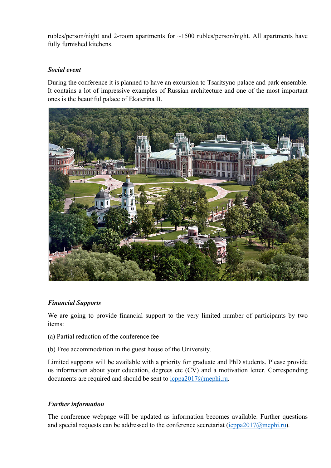rubles/person/night and 2-room apartments for ~1500 rubles/person/night. All apartments have fully furnished kitchens.

#### *Social event*

During the conference it is planned to have an excursion to Tsaritsyno palace and park ensemble. It contains a lot of impressive examples of Russian architecture and one of the most important ones is the beautiful palace of Ekaterina II.



### *Financial Supports*

We are going to provide financial support to the very limited number of participants by two items:

- (a) Partial reduction of the conference fee
- (b) Free accommodation in the guest house of the University.

Limited supports will be available with a priority for graduate and PhD students. Please provide us information about your education, degrees etc (CV) and a motivation letter. Corresponding documents are required and should be sent to icppa2017@mephi.ru.

### *Further information*

The conference webpage will be updated as information becomes available. Further questions and special requests can be addressed to the conference secretariat (icppa2017@mephi.ru).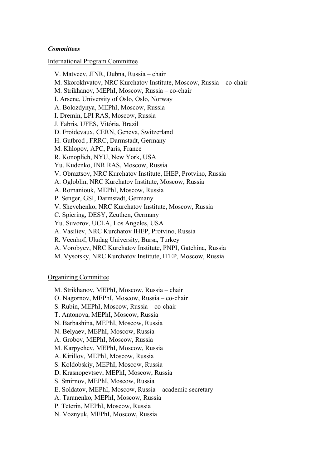#### *Committees*

#### International Program Committee

 V. Matveev, JINR, Dubna, Russia – chair M. Skorokhvatov, NRC Kurchatov Institute, Moscow, Russia – co-chair M. Strikhanov, MEPhI, Moscow, Russia – co-chair I. Arsene, University of Oslo, Oslo, Norway A. Bolozdynya, MEPhI, Moscow, Russia I. Dremin, LPI RAS, Moscow, Russia J. Fabris, UFES, Vitória, Brazil D. Froidevaux, CERN, Geneva, Switzerland H. Gutbrod , FRRC, Darmstadt, Germany M. Khlopov, APC, Paris, France R. Konoplich, NYU, New York, USA Yu. Kudenko, INR RAS, Moscow, Russia V. Obraztsov, NRC Kurchatov Institute, IHEP, Protvino, Russia A. Ogloblin, NRC Kurchatov Institute, Moscow, Russia A. Romaniouk, MEPhI, Moscow, Russia P. Senger, GSI, Darmstadt, Germany V. Shevchenko, NRC Kurchatov Institute, Moscow, Russia C. Spiering, DESY, Zeuthen, Germany Yu. Suvorov, UCLA, Los Angeles, USA A. Vasiliev, NRC Kurchatov IHEP, Protvino, Russia R. Veenhof, Uludag University, Bursa, Turkey A. Vorobyev, NRC Kurchatov Institute, PNPI, Gatchina, Russia M. Vysotsky, NRC Kurchatov Institute, ITEP, Moscow, Russia

#### Organizing Committee

- M. Strikhanov, MEPhI, Moscow, Russia chair
- O. Nagornov, MEPhI, Moscow, Russia co-chair
- S. Rubin, MEPhI, Moscow, Russia co-chair
- T. Antonova, MEPhI, Moscow, Russia
- N. Barbashina, MEPhI, Moscow, Russia
- N. Belyaev, MEPhI, Moscow, Russia
- A. Grobov, MEPhI, Moscow, Russia
- M. Karpychev, MEPhI, Moscow, Russia
- A. Kirillov, MEPhI, Moscow, Russia
- S. Koldobskiy, MEPhI, Moscow, Russia
- D. Krasnopevtsev, MEPhI, Moscow, Russia
- S. Smirnov, MEPhI, Moscow, Russia
- E. Soldatov, MEPhI, Moscow, Russia academic secretary
- A. Taranenko, MEPhI, Moscow, Russia
- P. Teterin, MEPhI, Moscow, Russia
- N. Voznyuk, MEPhI, Moscow, Russia